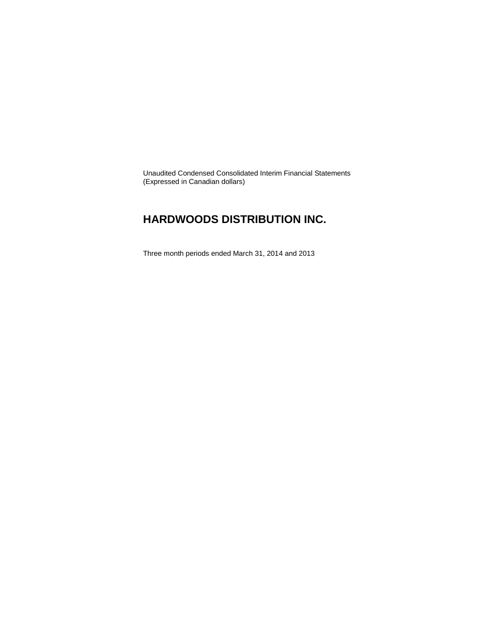Unaudited Condensed Consolidated Interim Financial Statements (Expressed in Canadian dollars)

### **HARDWOODS DISTRIBUTION INC.**

Three month periods ended March 31, 2014 and 2013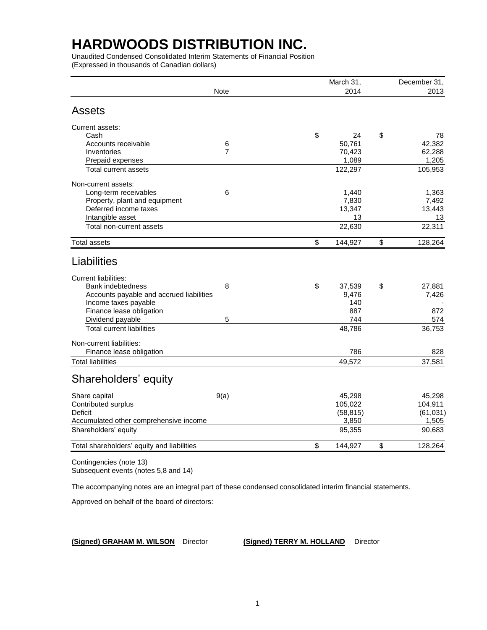Unaudited Condensed Consolidated Interim Statements of Financial Position (Expressed in thousands of Canadian dollars)

|                                            |                | March 31,     | December 31,  |
|--------------------------------------------|----------------|---------------|---------------|
|                                            | <b>Note</b>    | 2014          | 2013          |
| <b>Assets</b>                              |                |               |               |
| Current assets:                            |                |               |               |
| Cash                                       |                | \$<br>24      | \$<br>78      |
| Accounts receivable                        | 6              | 50,761        | 42,382        |
| Inventories                                | $\overline{7}$ | 70,423        | 62,288        |
| Prepaid expenses                           |                | 1,089         | 1,205         |
| <b>Total current assets</b>                |                | 122,297       | 105,953       |
| Non-current assets:                        |                |               |               |
| Long-term receivables                      | 6              | 1,440         | 1,363         |
| Property, plant and equipment              |                | 7,830         | 7,492         |
| Deferred income taxes                      |                | 13,347        | 13,443        |
| Intangible asset                           |                | 13            | 13            |
| Total non-current assets                   |                | 22,630        | 22,311        |
| <b>Total assets</b>                        |                | \$<br>144,927 | \$<br>128,264 |
| Liabilities                                |                |               |               |
| <b>Current liabilities:</b>                |                |               |               |
| Bank indebtedness                          | 8              | \$<br>37,539  | \$<br>27,881  |
| Accounts payable and accrued liabilities   |                | 9,476         | 7,426         |
| Income taxes payable                       |                | 140           |               |
| Finance lease obligation                   |                | 887           | 872           |
| Dividend payable                           | 5              | 744           | 574           |
| <b>Total current liabilities</b>           |                | 48,786        | 36,753        |
| Non-current liabilities:                   |                |               |               |
| Finance lease obligation                   |                | 786           | 828           |
| <b>Total liabilities</b>                   |                | 49,572        | 37,581        |
| Shareholders' equity                       |                |               |               |
| Share capital                              | 9(a)           | 45,298        | 45,298        |
| Contributed surplus                        |                | 105,022       | 104,911       |
| <b>Deficit</b>                             |                | (58, 815)     | (61, 031)     |
| Accumulated other comprehensive income     |                | 3,850         | 1,505         |
| Shareholders' equity                       |                | 95,355        | 90,683        |
| Total shareholders' equity and liabilities |                | \$<br>144,927 | \$<br>128,264 |
| $O$ cation and also $(a + b - A)$          |                |               |               |

Contingencies (note 13) Subsequent events (notes 5,8 and 14)

The accompanying notes are an integral part of these condensed consolidated interim financial statements.

Approved on behalf of the board of directors:

**(Signed) GRAHAM M. WILSON** Director **(Signed) TERRY M. HOLLAND** Director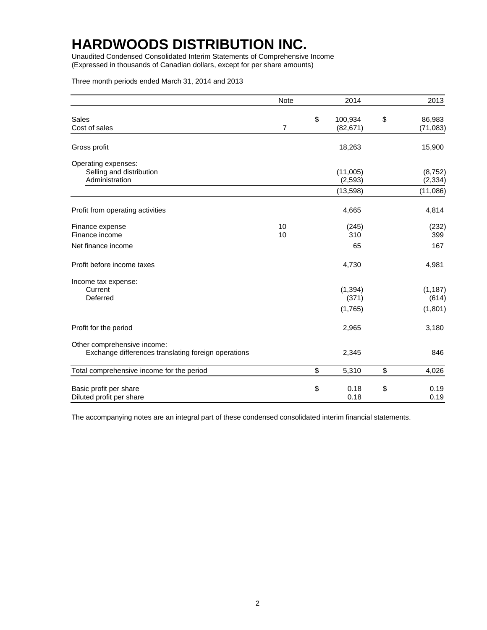Unaudited Condensed Consolidated Interim Statements of Comprehensive Income (Expressed in thousands of Canadian dollars, except for per share amounts)

Three month periods ended March 31, 2014 and 2013

|                                                                                    | Note     | 2014                       | 2013                      |
|------------------------------------------------------------------------------------|----------|----------------------------|---------------------------|
| Sales<br>Cost of sales                                                             | 7        | \$<br>100,934<br>(82, 671) | \$<br>86,983<br>(71, 083) |
| Gross profit                                                                       |          | 18,263                     | 15,900                    |
| Operating expenses:<br>Selling and distribution<br>Administration                  |          | (11,005)<br>(2, 593)       | (8, 752)<br>(2, 334)      |
|                                                                                    |          | (13, 598)                  | (11,086)                  |
| Profit from operating activities                                                   |          | 4,665                      | 4,814                     |
| Finance expense<br>Finance income                                                  | 10<br>10 | (245)<br>310               | (232)<br>399              |
| Net finance income                                                                 |          | 65                         | 167                       |
| Profit before income taxes                                                         |          | 4,730                      | 4,981                     |
| Income tax expense:<br>Current<br>Deferred                                         |          | (1, 394)<br>(371)          | (1, 187)<br>(614)         |
|                                                                                    |          | (1,765)                    | (1, 801)                  |
| Profit for the period                                                              |          | 2,965                      | 3,180                     |
| Other comprehensive income:<br>Exchange differences translating foreign operations |          | 2,345                      | 846                       |
| Total comprehensive income for the period                                          |          | \$<br>5,310                | \$<br>4,026               |
| Basic profit per share<br>Diluted profit per share                                 |          | \$<br>0.18<br>0.18         | \$<br>0.19<br>0.19        |

The accompanying notes are an integral part of these condensed consolidated interim financial statements.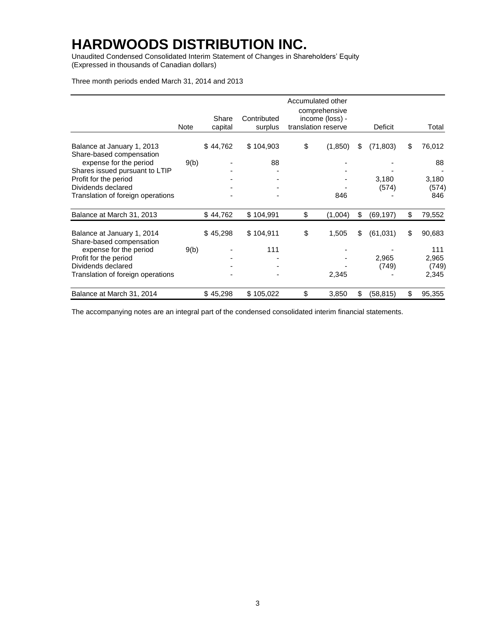Unaudited Condensed Consolidated Interim Statement of Changes in Shareholders' Equity (Expressed in thousands of Canadian dollars)

Three month periods ended March 31, 2014 and 2013

|                                                          | Note | Share<br>capital | Contributed<br>surplus | Accumulated other<br>comprehensive<br>income (loss) -<br>translation reserve | Deficit         | Total        |
|----------------------------------------------------------|------|------------------|------------------------|------------------------------------------------------------------------------|-----------------|--------------|
| Balance at January 1, 2013                               |      | \$44,762         | \$104,903              | \$<br>(1, 850)                                                               | \$<br>(71, 803) | \$<br>76,012 |
| Share-based compensation                                 |      |                  |                        |                                                                              |                 |              |
| expense for the period<br>Shares issued pursuant to LTIP | 9(b) |                  | 88                     |                                                                              |                 | 88           |
| Profit for the period                                    |      |                  |                        |                                                                              | 3,180           | 3,180        |
| Dividends declared                                       |      |                  |                        |                                                                              | (574)           | (574)        |
| Translation of foreign operations                        |      |                  |                        | 846                                                                          |                 | 846          |
| Balance at March 31, 2013                                |      | \$44,762         | \$104,991              | \$<br>(1,004)                                                                | \$<br>(69, 197) | \$<br>79,552 |
| Balance at January 1, 2014<br>Share-based compensation   |      | \$45,298         | \$104,911              | \$<br>1,505                                                                  | \$<br>(61, 031) | \$<br>90,683 |
| expense for the period                                   | 9(b) |                  | 111                    |                                                                              |                 | 111          |
| Profit for the period                                    |      |                  |                        |                                                                              | 2,965           | 2,965        |
| Dividends declared                                       |      |                  |                        |                                                                              | (749)           | (749)        |
| Translation of foreign operations                        |      |                  |                        | 2,345                                                                        |                 | 2,345        |
| Balance at March 31, 2014                                |      | \$45,298         | \$105,022              | \$<br>3,850                                                                  | \$<br>(58, 815) | \$<br>95,355 |

The accompanying notes are an integral part of the condensed consolidated interim financial statements.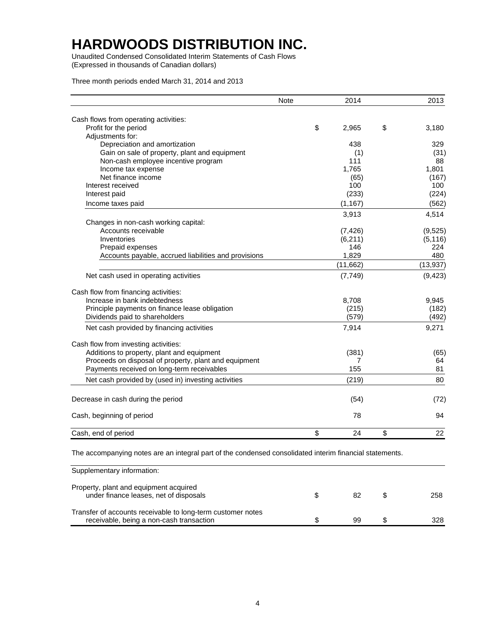Unaudited Condensed Consolidated Interim Statements of Cash Flows (Expressed in thousands of Canadian dollars)

Three month periods ended March 31, 2014 and 2013

|                                                                                                     | <b>Note</b> | 2014        | 2013        |
|-----------------------------------------------------------------------------------------------------|-------------|-------------|-------------|
| Cash flows from operating activities:                                                               |             |             |             |
| Profit for the period                                                                               |             | \$<br>2,965 | \$<br>3,180 |
| Adjustments for:                                                                                    |             |             |             |
| Depreciation and amortization                                                                       |             | 438         | 329         |
| Gain on sale of property, plant and equipment                                                       |             | (1)         | (31)        |
| Non-cash employee incentive program                                                                 |             | 111         | 88          |
| Income tax expense                                                                                  |             | 1,765       | 1,801       |
| Net finance income                                                                                  |             | (65)        | (167)       |
| Interest received                                                                                   |             | 100         | 100         |
| Interest paid                                                                                       |             | (233)       | (224)       |
| Income taxes paid                                                                                   |             | (1, 167)    | (562)       |
|                                                                                                     |             | 3,913       | 4,514       |
| Changes in non-cash working capital:                                                                |             |             |             |
| Accounts receivable                                                                                 |             | (7, 426)    | (9, 525)    |
| Inventories                                                                                         |             | (6, 211)    | (5, 116)    |
| Prepaid expenses                                                                                    |             | 146         | 224         |
| Accounts payable, accrued liabilities and provisions                                                |             | 1,829       | 480         |
|                                                                                                     |             | (11, 662)   | (13, 937)   |
| Net cash used in operating activities                                                               |             | (7, 749)    | (9, 423)    |
| Cash flow from financing activities:                                                                |             |             |             |
| Increase in bank indebtedness                                                                       |             | 8,708       | 9,945       |
| Principle payments on finance lease obligation                                                      |             | (215)       | (182)       |
| Dividends paid to shareholders                                                                      |             | (579)       | (492)       |
| Net cash provided by financing activities                                                           |             | 7,914       | 9,271       |
|                                                                                                     |             |             |             |
| Cash flow from investing activities:                                                                |             |             |             |
| Additions to property, plant and equipment<br>Proceeds on disposal of property, plant and equipment |             | (381)<br>7  | (65)<br>64  |
| Payments received on long-term receivables                                                          |             | 155         | 81          |
|                                                                                                     |             |             |             |
| Net cash provided by (used in) investing activities                                                 |             | (219)       | 80          |
| Decrease in cash during the period                                                                  |             | (54)        | (72)        |
| Cash, beginning of period                                                                           |             | 78          | 94          |
| Cash, end of period                                                                                 |             | \$<br>24    | \$<br>22    |

The accompanying notes are an integral part of the condensed consolidated interim financial statements.

| Supplementary information:                                                                              |    |     |
|---------------------------------------------------------------------------------------------------------|----|-----|
| Property, plant and equipment acquired<br>under finance leases, net of disposals                        |    | 258 |
| Transfer of accounts receivable to long-term customer notes<br>receivable, being a non-cash transaction | 99 | 328 |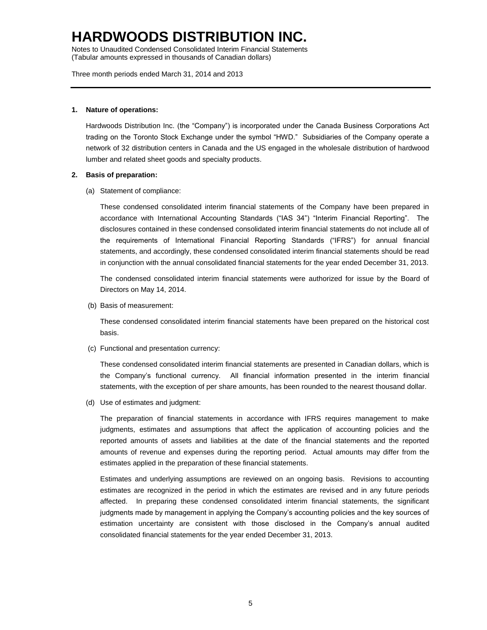Notes to Unaudited Condensed Consolidated Interim Financial Statements (Tabular amounts expressed in thousands of Canadian dollars)

Three month periods ended March 31, 2014 and 2013

#### **1. Nature of operations:**

Hardwoods Distribution Inc. (the "Company") is incorporated under the Canada Business Corporations Act trading on the Toronto Stock Exchange under the symbol "HWD." Subsidiaries of the Company operate a network of 32 distribution centers in Canada and the US engaged in the wholesale distribution of hardwood lumber and related sheet goods and specialty products.

#### **2. Basis of preparation:**

(a) Statement of compliance:

These condensed consolidated interim financial statements of the Company have been prepared in accordance with International Accounting Standards ("IAS 34") "Interim Financial Reporting". The disclosures contained in these condensed consolidated interim financial statements do not include all of the requirements of International Financial Reporting Standards ("IFRS") for annual financial statements, and accordingly, these condensed consolidated interim financial statements should be read in conjunction with the annual consolidated financial statements for the year ended December 31, 2013.

The condensed consolidated interim financial statements were authorized for issue by the Board of Directors on May 14, 2014.

(b) Basis of measurement:

These condensed consolidated interim financial statements have been prepared on the historical cost basis.

(c) Functional and presentation currency:

These condensed consolidated interim financial statements are presented in Canadian dollars, which is the Company's functional currency. All financial information presented in the interim financial statements, with the exception of per share amounts, has been rounded to the nearest thousand dollar.

(d) Use of estimates and judgment:

The preparation of financial statements in accordance with IFRS requires management to make judgments, estimates and assumptions that affect the application of accounting policies and the reported amounts of assets and liabilities at the date of the financial statements and the reported amounts of revenue and expenses during the reporting period. Actual amounts may differ from the estimates applied in the preparation of these financial statements.

Estimates and underlying assumptions are reviewed on an ongoing basis. Revisions to accounting estimates are recognized in the period in which the estimates are revised and in any future periods affected. In preparing these condensed consolidated interim financial statements, the significant judgments made by management in applying the Company's accounting policies and the key sources of estimation uncertainty are consistent with those disclosed in the Company's annual audited consolidated financial statements for the year ended December 31, 2013.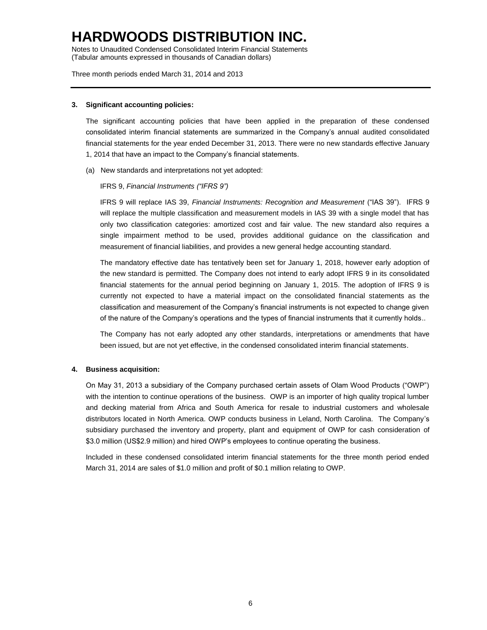Notes to Unaudited Condensed Consolidated Interim Financial Statements (Tabular amounts expressed in thousands of Canadian dollars)

Three month periods ended March 31, 2014 and 2013

#### **3. Significant accounting policies:**

The significant accounting policies that have been applied in the preparation of these condensed consolidated interim financial statements are summarized in the Company's annual audited consolidated financial statements for the year ended December 31, 2013. There were no new standards effective January 1, 2014 that have an impact to the Company's financial statements.

(a) New standards and interpretations not yet adopted:

#### IFRS 9, *Financial Instruments ("IFRS 9")*

IFRS 9 will replace IAS 39, *Financial Instruments: Recognition and Measurement* ("IAS 39"). IFRS 9 will replace the multiple classification and measurement models in IAS 39 with a single model that has only two classification categories: amortized cost and fair value. The new standard also requires a single impairment method to be used, provides additional guidance on the classification and measurement of financial liabilities, and provides a new general hedge accounting standard.

The mandatory effective date has tentatively been set for January 1, 2018, however early adoption of the new standard is permitted. The Company does not intend to early adopt IFRS 9 in its consolidated financial statements for the annual period beginning on January 1, 2015. The adoption of IFRS 9 is currently not expected to have a material impact on the consolidated financial statements as the classification and measurement of the Company's financial instruments is not expected to change given of the nature of the Company's operations and the types of financial instruments that it currently holds..

The Company has not early adopted any other standards, interpretations or amendments that have been issued, but are not yet effective, in the condensed consolidated interim financial statements.

#### **4. Business acquisition:**

On May 31, 2013 a subsidiary of the Company purchased certain assets of Olam Wood Products ("OWP") with the intention to continue operations of the business. OWP is an importer of high quality tropical lumber and decking material from Africa and South America for resale to industrial customers and wholesale distributors located in North America. OWP conducts business in Leland, North Carolina. The Company's subsidiary purchased the inventory and property, plant and equipment of OWP for cash consideration of \$3.0 million (US\$2.9 million) and hired OWP's employees to continue operating the business.

Included in these condensed consolidated interim financial statements for the three month period ended March 31, 2014 are sales of \$1.0 million and profit of \$0.1 million relating to OWP.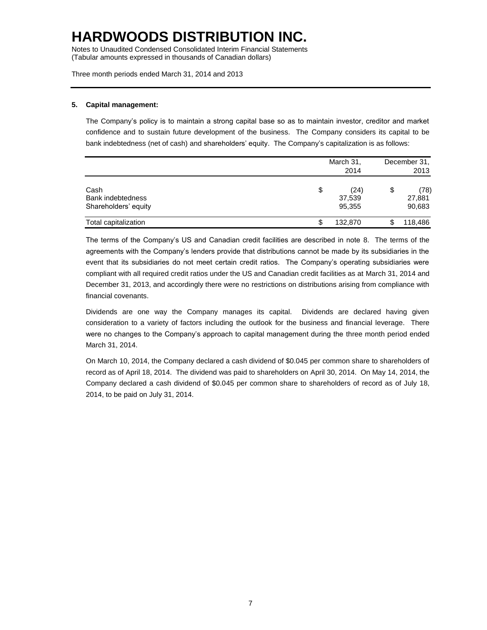Notes to Unaudited Condensed Consolidated Interim Financial Statements (Tabular amounts expressed in thousands of Canadian dollars)

Three month periods ended March 31, 2014 and 2013

#### **5. Capital management:**

The Company's policy is to maintain a strong capital base so as to maintain investor, creditor and market confidence and to sustain future development of the business. The Company considers its capital to be bank indebtedness (net of cash) and shareholders' equity. The Company's capitalization is as follows:

|                                                   |    | March 31,<br>2014        |    | December 31,<br>2013     |  |
|---------------------------------------------------|----|--------------------------|----|--------------------------|--|
| Cash<br>Bank indebtedness<br>Shareholders' equity | \$ | (24)<br>37,539<br>95,355 | \$ | (78)<br>27,881<br>90,683 |  |
| Total capitalization                              | S  | 132,870                  |    | 118,486                  |  |

The terms of the Company's US and Canadian credit facilities are described in note 8. The terms of the agreements with the Company's lenders provide that distributions cannot be made by its subsidiaries in the event that its subsidiaries do not meet certain credit ratios. The Company's operating subsidiaries were compliant with all required credit ratios under the US and Canadian credit facilities as at March 31, 2014 and December 31, 2013, and accordingly there were no restrictions on distributions arising from compliance with financial covenants.

Dividends are one way the Company manages its capital. Dividends are declared having given consideration to a variety of factors including the outlook for the business and financial leverage. There were no changes to the Company's approach to capital management during the three month period ended March 31, 2014.

On March 10, 2014, the Company declared a cash dividend of \$0.045 per common share to shareholders of record as of April 18, 2014. The dividend was paid to shareholders on April 30, 2014. On May 14, 2014, the Company declared a cash dividend of \$0.045 per common share to shareholders of record as of July 18, 2014, to be paid on July 31, 2014.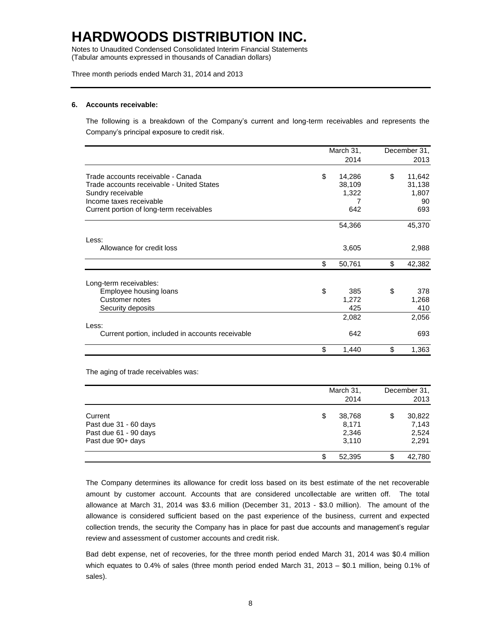Notes to Unaudited Condensed Consolidated Interim Financial Statements (Tabular amounts expressed in thousands of Canadian dollars)

Three month periods ended March 31, 2014 and 2013

#### **6. Accounts receivable:**

The following is a breakdown of the Company's current and long-term receivables and represents the Company's principal exposure to credit risk.

|                                                  | March 31,    |    | December 31, |
|--------------------------------------------------|--------------|----|--------------|
|                                                  | 2014         |    | 2013         |
| Trade accounts receivable - Canada               | \$<br>14,286 | \$ | 11,642       |
| Trade accounts receivable - United States        | 38,109       |    | 31,138       |
| Sundry receivable                                | 1,322        |    | 1,807        |
| Income taxes receivable                          |              |    | 90           |
| Current portion of long-term receivables         | 642          |    | 693          |
|                                                  | 54,366       |    | 45,370       |
| Less:                                            |              |    |              |
| Allowance for credit loss                        | 3,605        |    | 2,988        |
|                                                  | \$<br>50,761 | \$ | 42,382       |
| Long-term receivables:                           |              |    |              |
| Employee housing loans                           | \$<br>385    | \$ | 378          |
| Customer notes                                   | 1,272        |    | 1,268        |
| Security deposits                                | 425          |    | 410          |
|                                                  | 2,082        |    | 2,056        |
| Less:                                            |              |    |              |
| Current portion, included in accounts receivable | 642          |    | 693          |
|                                                  | \$<br>1,440  | \$ | 1,363        |

The aging of trade receivables was:

|                                                                                | March 31,<br>2014                       | December 31,<br>2013                    |
|--------------------------------------------------------------------------------|-----------------------------------------|-----------------------------------------|
| Current<br>Past due 31 - 60 days<br>Past due 61 - 90 days<br>Past due 90+ days | \$<br>38,768<br>8,171<br>2,346<br>3,110 | \$<br>30,822<br>7,143<br>2,524<br>2,291 |
|                                                                                | 52,395                                  | \$<br>42,780                            |

The Company determines its allowance for credit loss based on its best estimate of the net recoverable amount by customer account. Accounts that are considered uncollectable are written off. The total allowance at March 31, 2014 was \$3.6 million (December 31, 2013 - \$3.0 million). The amount of the allowance is considered sufficient based on the past experience of the business, current and expected collection trends, the security the Company has in place for past due accounts and management's regular review and assessment of customer accounts and credit risk.

Bad debt expense, net of recoveries, for the three month period ended March 31, 2014 was \$0.4 million which equates to 0.4% of sales (three month period ended March 31, 2013 – \$0.1 million, being 0.1% of sales).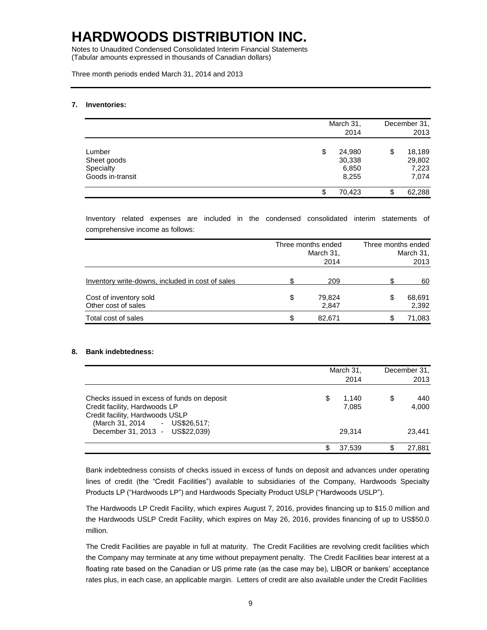Notes to Unaudited Condensed Consolidated Interim Financial Statements (Tabular amounts expressed in thousands of Canadian dollars)

Three month periods ended March 31, 2014 and 2013

#### **7. Inventories:**

|                                                        |    | March 31,<br>2014                  | December 31,<br>2013                     |
|--------------------------------------------------------|----|------------------------------------|------------------------------------------|
| Lumber<br>Sheet goods<br>Specialty<br>Goods in-transit | \$ | 24,980<br>30,338<br>6,850<br>8,255 | \$<br>18,189<br>29,802<br>7,223<br>7,074 |
|                                                        | S  | 70.423                             | \$<br>62,288                             |

Inventory related expenses are included in the condensed consolidated interim statements of comprehensive income as follows:

|                                                  | Three months ended<br>March 31,<br>2014 |     | Three months ended<br>March 31,<br>2013 |
|--------------------------------------------------|-----------------------------------------|-----|-----------------------------------------|
| Inventory write-downs, included in cost of sales | 209                                     |     | 60                                      |
| Cost of inventory sold<br>Other cost of sales    | \$<br>79,824<br>2,847                   | S   | 68,691<br>2,392                         |
| Total cost of sales                              | \$<br>82.671                            | \$. | 71,083                                  |

#### **8. Bank indebtedness:**

|                                                                                                                                                  |    | March 31,<br>2014 |    | December 31,<br>2013 |
|--------------------------------------------------------------------------------------------------------------------------------------------------|----|-------------------|----|----------------------|
| Checks issued in excess of funds on deposit<br>Credit facility, Hardwoods LP<br>Credit facility, Hardwoods USLP<br>(March 31, 2014 - US\$26,517; | \$ | 1.140<br>7,085    | \$ | 440<br>4,000         |
| December 31, 2013 - US\$22,039)                                                                                                                  |    | 29.314            |    | 23,441               |
|                                                                                                                                                  | S  | 37.539            | S. | 27,881               |

Bank indebtedness consists of checks issued in excess of funds on deposit and advances under operating lines of credit (the "Credit Facilities") available to subsidiaries of the Company, Hardwoods Specialty Products LP ("Hardwoods LP") and Hardwoods Specialty Product USLP ("Hardwoods USLP").

The Hardwoods LP Credit Facility, which expires August 7, 2016, provides financing up to \$15.0 million and the Hardwoods USLP Credit Facility, which expires on May 26, 2016, provides financing of up to US\$50.0 million.

The Credit Facilities are payable in full at maturity. The Credit Facilities are revolving credit facilities which the Company may terminate at any time without prepayment penalty. The Credit Facilities bear interest at a floating rate based on the Canadian or US prime rate (as the case may be), LIBOR or bankers' acceptance rates plus, in each case, an applicable margin. Letters of credit are also available under the Credit Facilities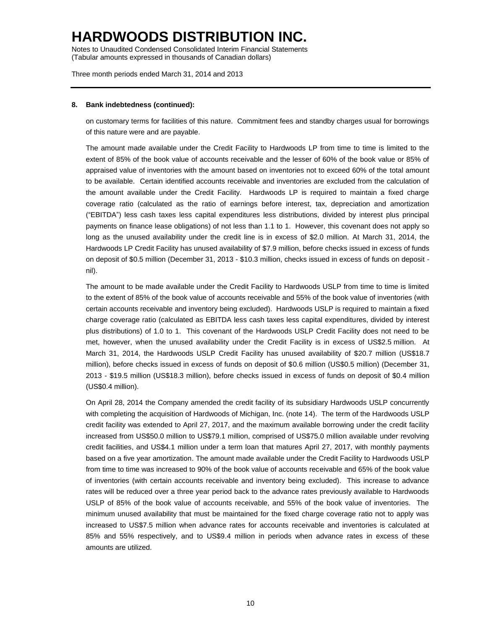Notes to Unaudited Condensed Consolidated Interim Financial Statements (Tabular amounts expressed in thousands of Canadian dollars)

Three month periods ended March 31, 2014 and 2013

#### **8. Bank indebtedness (continued):**

on customary terms for facilities of this nature. Commitment fees and standby charges usual for borrowings of this nature were and are payable.

The amount made available under the Credit Facility to Hardwoods LP from time to time is limited to the extent of 85% of the book value of accounts receivable and the lesser of 60% of the book value or 85% of appraised value of inventories with the amount based on inventories not to exceed 60% of the total amount to be available. Certain identified accounts receivable and inventories are excluded from the calculation of the amount available under the Credit Facility. Hardwoods LP is required to maintain a fixed charge coverage ratio (calculated as the ratio of earnings before interest, tax, depreciation and amortization ("EBITDA") less cash taxes less capital expenditures less distributions, divided by interest plus principal payments on finance lease obligations) of not less than 1.1 to 1. However, this covenant does not apply so long as the unused availability under the credit line is in excess of \$2.0 million. At March 31, 2014, the Hardwoods LP Credit Facility has unused availability of \$7.9 million, before checks issued in excess of funds on deposit of \$0.5 million (December 31, 2013 - \$10.3 million, checks issued in excess of funds on deposit nil).

The amount to be made available under the Credit Facility to Hardwoods USLP from time to time is limited to the extent of 85% of the book value of accounts receivable and 55% of the book value of inventories (with certain accounts receivable and inventory being excluded). Hardwoods USLP is required to maintain a fixed charge coverage ratio (calculated as EBITDA less cash taxes less capital expenditures, divided by interest plus distributions) of 1.0 to 1. This covenant of the Hardwoods USLP Credit Facility does not need to be met, however, when the unused availability under the Credit Facility is in excess of US\$2.5 million. At March 31, 2014, the Hardwoods USLP Credit Facility has unused availability of \$20.7 million (US\$18.7 million), before checks issued in excess of funds on deposit of \$0.6 million (US\$0.5 million) (December 31, 2013 - \$19.5 million (US\$18.3 million), before checks issued in excess of funds on deposit of \$0.4 million (US\$0.4 million).

On April 28, 2014 the Company amended the credit facility of its subsidiary Hardwoods USLP concurrently with completing the acquisition of Hardwoods of Michigan, Inc. (note 14). The term of the Hardwoods USLP credit facility was extended to April 27, 2017, and the maximum available borrowing under the credit facility increased from US\$50.0 million to US\$79.1 million, comprised of US\$75.0 million available under revolving credit facilities, and US\$4.1 million under a term loan that matures April 27, 2017, with monthly payments based on a five year amortization. The amount made available under the Credit Facility to Hardwoods USLP from time to time was increased to 90% of the book value of accounts receivable and 65% of the book value of inventories (with certain accounts receivable and inventory being excluded). This increase to advance rates will be reduced over a three year period back to the advance rates previously available to Hardwoods USLP of 85% of the book value of accounts receivable, and 55% of the book value of inventories. The minimum unused availability that must be maintained for the fixed charge coverage ratio not to apply was increased to US\$7.5 million when advance rates for accounts receivable and inventories is calculated at 85% and 55% respectively, and to US\$9.4 million in periods when advance rates in excess of these amounts are utilized.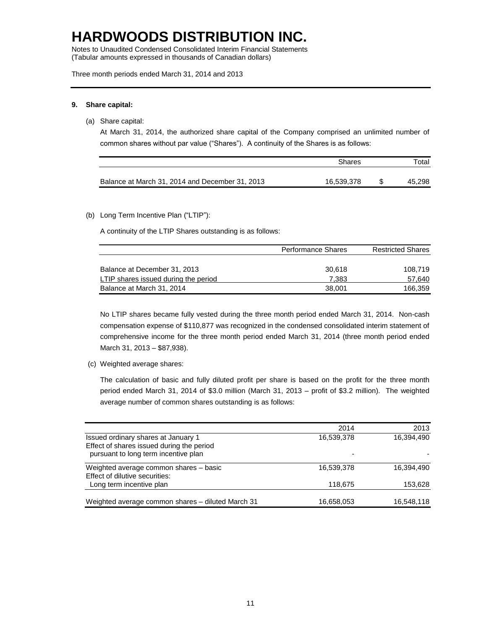Notes to Unaudited Condensed Consolidated Interim Financial Statements (Tabular amounts expressed in thousands of Canadian dollars)

Three month periods ended March 31, 2014 and 2013

#### **9. Share capital:**

(a) Share capital:

At March 31, 2014, the authorized share capital of the Company comprised an unlimited number of common shares without par value ("Shares"). A continuity of the Shares is as follows:

|                                                 | Shares     | Total  |
|-------------------------------------------------|------------|--------|
| Balance at March 31, 2014 and December 31, 2013 | 16,539,378 | 45,298 |

#### (b) Long Term Incentive Plan ("LTIP"):

A continuity of the LTIP Shares outstanding is as follows:

|                                      | <b>Performance Shares</b> | <b>Restricted Shares</b> |  |  |
|--------------------------------------|---------------------------|--------------------------|--|--|
|                                      |                           |                          |  |  |
| Balance at December 31, 2013         | 30.618                    | 108.719                  |  |  |
| LTIP shares issued during the period | 7.383                     | 57,640                   |  |  |
| Balance at March 31, 2014            | 38,001                    | 166.359                  |  |  |

No LTIP shares became fully vested during the three month period ended March 31, 2014. Non-cash compensation expense of \$110,877 was recognized in the condensed consolidated interim statement of comprehensive income for the three month period ended March 31, 2014 (three month period ended March 31, 2013 – \$87,938).

(c) Weighted average shares:

The calculation of basic and fully diluted profit per share is based on the profit for the three month period ended March 31, 2014 of \$3.0 million (March 31, 2013 – profit of \$3.2 million). The weighted average number of common shares outstanding is as follows:

|                                                   | 2014       | 2013       |
|---------------------------------------------------|------------|------------|
| Issued ordinary shares at January 1               | 16,539,378 | 16,394,490 |
| Effect of shares issued during the period         |            |            |
| pursuant to long term incentive plan              |            |            |
| Weighted average common shares - basic            | 16,539,378 | 16,394,490 |
| Effect of dilutive securities:                    |            |            |
| Long term incentive plan                          | 118.675    | 153,628    |
| Weighted average common shares - diluted March 31 | 16,658,053 | 16,548,118 |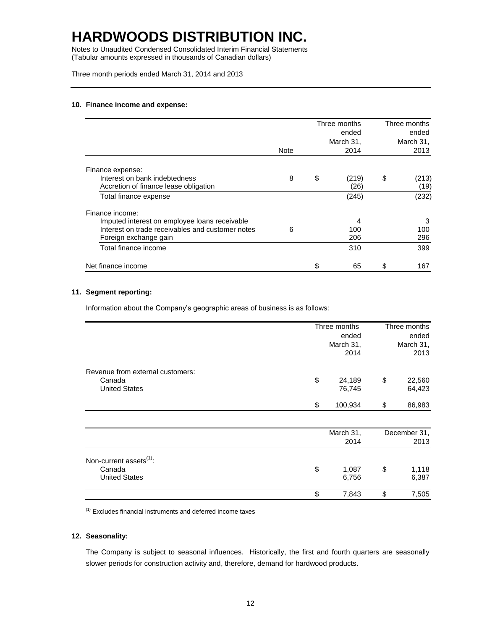Notes to Unaudited Condensed Consolidated Interim Financial Statements (Tabular amounts expressed in thousands of Canadian dollars)

Three month periods ended March 31, 2014 and 2013

#### **10. Finance income and expense:**

|                                                  |      | Three months<br>ended<br>March 31, |       | Three months<br>ended<br>March 31, |       |
|--------------------------------------------------|------|------------------------------------|-------|------------------------------------|-------|
|                                                  | Note |                                    | 2014  |                                    | 2013  |
| Finance expense:                                 |      |                                    |       |                                    |       |
| Interest on bank indebtedness                    | 8    | \$                                 | (219) | \$                                 | (213) |
| Accretion of finance lease obligation            |      |                                    | (26)  |                                    | (19)  |
| Total finance expense                            |      |                                    | (245) |                                    | (232) |
| Finance income:                                  |      |                                    |       |                                    |       |
| Imputed interest on employee loans receivable    |      |                                    | 4     |                                    | 3     |
| Interest on trade receivables and customer notes | 6    |                                    | 100   |                                    | 100   |
| Foreign exchange gain                            |      |                                    | 206   |                                    | 296   |
| Total finance income                             |      |                                    | 310   |                                    | 399   |
| Net finance income                               |      | \$                                 | 65    | \$                                 | 167   |

#### **11. Segment reporting:**

Information about the Company's geographic areas of business is as follows:

|                                     | Three months  | Three months<br>ended<br>March 31, |        |
|-------------------------------------|---------------|------------------------------------|--------|
|                                     | ended         |                                    |        |
|                                     | March 31,     |                                    |        |
|                                     | 2014          |                                    | 2013   |
| Revenue from external customers:    |               |                                    |        |
| Canada                              | \$<br>24,189  | \$                                 | 22,560 |
| <b>United States</b>                | 76,745        |                                    | 64,423 |
|                                     | \$<br>100,934 | \$                                 | 86,983 |
|                                     |               |                                    |        |
|                                     | March 31,     | December 31,                       |        |
|                                     | 2014          |                                    | 2013   |
| Non-current assets <sup>(1)</sup> : |               |                                    |        |
| Canada                              | \$<br>1,087   | \$                                 | 1,118  |
| <b>United States</b>                | 6,756         |                                    | 6,387  |
|                                     | \$<br>7,843   | \$                                 | 7,505  |

 $<sup>(1)</sup>$  Excludes financial instruments and deferred income taxes</sup>

#### **12. Seasonality:**

The Company is subject to seasonal influences. Historically, the first and fourth quarters are seasonally slower periods for construction activity and, therefore, demand for hardwood products.